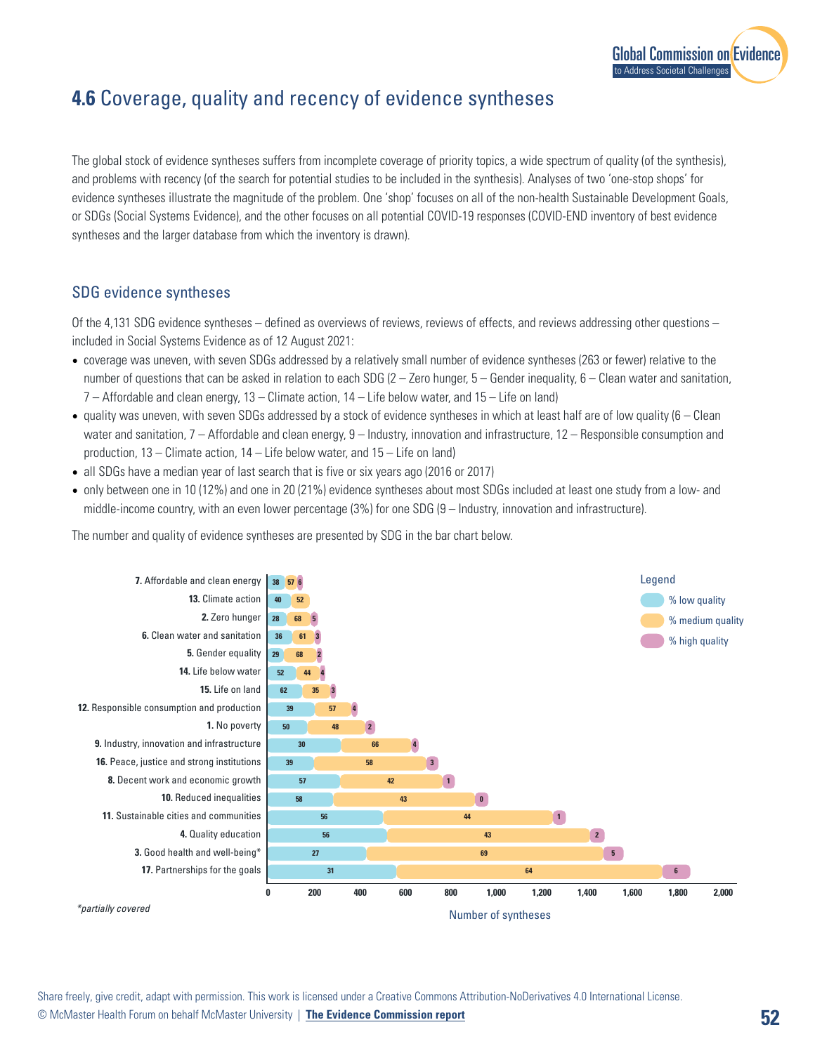

## **4.6** Coverage, quality and recency of evidence syntheses

The global stock of evidence syntheses suffers from incomplete coverage of priority topics, a wide spectrum of quality (of the synthesis), and problems with recency (of the search for potential studies to be included in the synthesis). Analyses of two 'one-stop shops' for evidence syntheses illustrate the magnitude of the problem. One 'shop' focuses on all of the non-health Sustainable Development Goals, or SDGs (Social Systems Evidence), and the other focuses on all potential COVID-19 responses (COVID-END inventory of best evidence syntheses and the larger database from which the inventory is drawn).

## SDG evidence syntheses

Of the 4,131 SDG evidence syntheses – defined as overviews of reviews, reviews of effects, and reviews addressing other questions – included in Social Systems Evidence as of 12 August 2021:

- coverage was uneven, with seven SDGs addressed by a relatively small number of evidence syntheses (263 or fewer) relative to the number of questions that can be asked in relation to each SDG (2 – Zero hunger, 5 – Gender inequality, 6 – Clean water and sanitation, 7 – Affordable and clean energy, 13 – Climate action, 14 – Life below water, and 15 – Life on land)
- quality was uneven, with seven SDGs addressed by a stock of evidence syntheses in which at least half are of low quality (6 Clean water and sanitation, 7 – Affordable and clean energy, 9 – Industry, innovation and infrastructure, 12 – Responsible consumption and production, 13 – Climate action, 14 – Life below water, and 15 – Life on land)
- all SDGs have a median year of last search that is five or six years ago (2016 or 2017)
- only between one in 10 (12%) and one in 20 (21%) evidence syntheses about most SDGs included at least one study from a low- and middle-income country, with an even lower percentage (3%) for one SDG (9 – Industry, innovation and infrastructure).

The number and quality of evidence syntheses are presented by SDG in the bar chart below.



Share freely, give credit, adapt with permission. This work is licensed under a Creative Commons Attribution-NoDerivatives 4.0 International License. © McMaster Health Forum on behalf McMaster University | **[The Evidence Commission report](https://www.mcmasterforum.org/networks/evidence-commission/report/english)**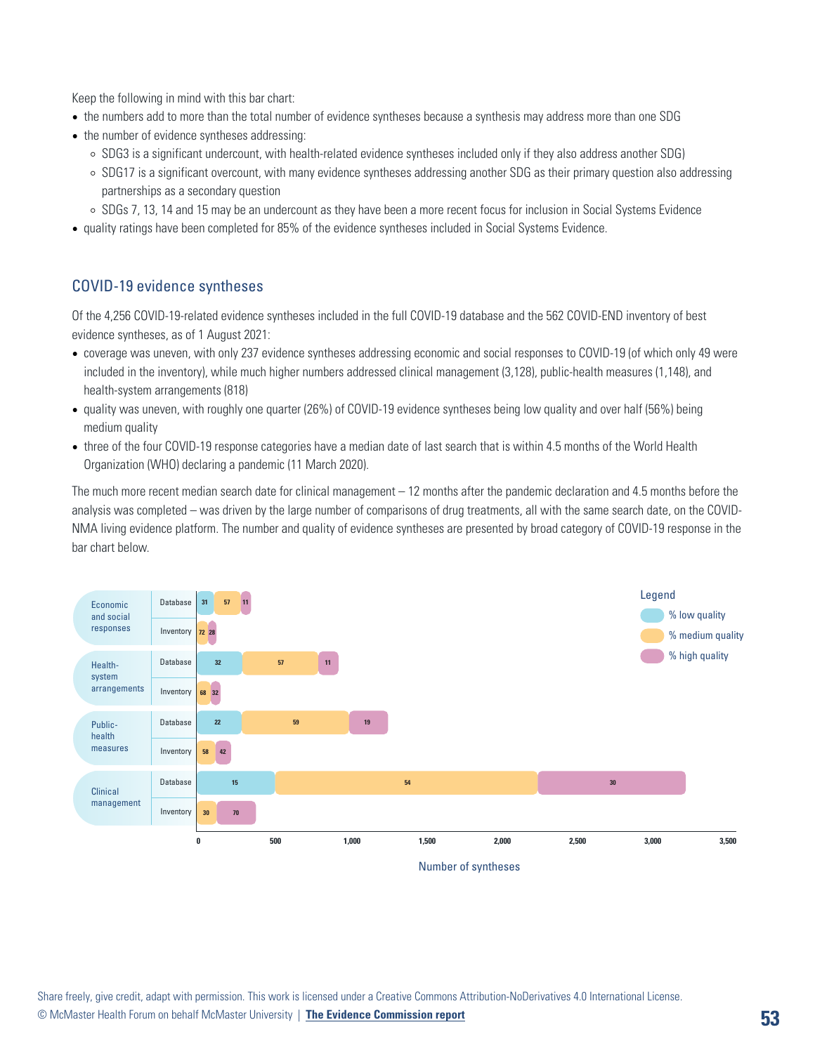Keep the following in mind with this bar chart:

- the numbers add to more than the total number of evidence syntheses because a synthesis may address more than one SDG
- the number of evidence syntheses addressing:
	- ⚪ SDG3 is a significant undercount, with health-related evidence syntheses included only if they also address another SDG)
	- ⚪ SDG17 is a significant overcount, with many evidence syntheses addressing another SDG as their primary question also addressing partnerships as a secondary question
	- ⚪ SDGs 7, 13, 14 and 15 may be an undercount as they have been a more recent focus for inclusion in Social Systems Evidence
- quality ratings have been completed for 85% of the evidence syntheses included in Social Systems Evidence.

## COVID-19 evidence syntheses

Of the 4,256 COVID-19-related evidence syntheses included in the full COVID-19 database and the 562 COVID-END inventory of best evidence syntheses, as of 1 August 2021:

- coverage was uneven, with only 237 evidence syntheses addressing economic and social responses to COVID-19 (of which only 49 were included in the inventory), while much higher numbers addressed clinical management (3,128), public-health measures (1,148), and health-system arrangements (818)
- quality was uneven, with roughly one quarter (26%) of COVID-19 evidence syntheses being low quality and over half (56%) being medium quality
- three of the four COVID-19 response categories have a median date of last search that is within 4.5 months of the World Health Organization (WHO) declaring a pandemic (11 March 2020).

The much more recent median search date for clinical management – 12 months after the pandemic declaration and 4.5 months before the analysis was completed – was driven by the large number of comparisons of drug treatments, all with the same search date, on the COVID-NMA living evidence platform. The number and quality of evidence syntheses are presented by broad category of COVID-19 response in the bar chart below.